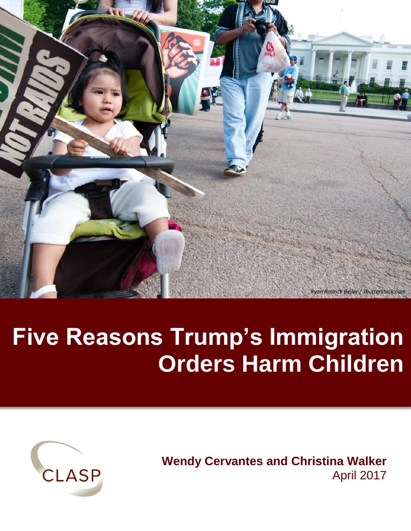

# **Five Reasons Trump's Immigration Orders Harm Children**



**Wendy Cervantes and Christina Walker** April 2017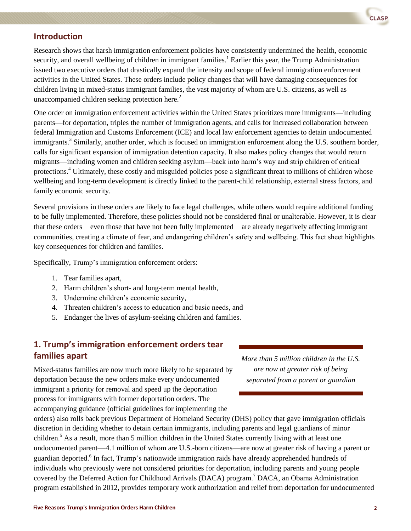

#### **Introduction**

Research shows that harsh immigration enforcement policies have consistently undermined the health, economic security, and overall wellbeing of children in immigrant families.<sup>1</sup> Earlier this year, the Trump Administration issued two executive orders that drastically expand the intensity and scope of federal immigration enforcement activities in the United States. These orders include policy changes that will have damaging consequences for children living in mixed-status immigrant families, the vast majority of whom are U.S. citizens, as well as unaccompanied children seeking protection here.<sup>2</sup>

One order on immigration enforcement activities within the United States prioritizes more immigrants—including parents—for deportation, triples the number of immigration agents, and calls for increased collaboration between federal Immigration and Customs Enforcement (ICE) and local law enforcement agencies to detain undocumented immigrants.<sup>3</sup> Similarly, another order, which is focused on immigration enforcement along the U.S. southern border, calls for significant expansion of immigration detention capacity. It also makes policy changes that would return migrants—including women and children seeking asylum—back into harm's way and strip children of critical protections.<sup>4</sup> Ultimately, these costly and misguided policies pose a significant threat to millions of children whose wellbeing and long-term development is directly linked to the parent-child relationship, external stress factors, and family economic security.

Several provisions in these orders are likely to face legal challenges, while others would require additional funding to be fully implemented. Therefore, these policies should not be considered final or unalterable. However, it is clear that these orders—even those that have not been fully implemented—are already negatively affecting immigrant communities, creating a climate of fear, and endangering children's safety and wellbeing. This fact sheet highlights key consequences for children and families.

Specifically, Trump's immigration enforcement orders:

- 1. Tear families apart,
- 2. Harm children's short- and long-term mental health,
- 3. Undermine children's economic security,
- 4. Threaten children's access to education and basic needs, and
- 5. Endanger the lives of asylum-seeking children and families.

## **1. Trump's immigration enforcement orders tear families apart**.

Mixed-status families are now much more likely to be separated by deportation because the new orders make every undocumented immigrant a priority for removal and speed up the deportation process for immigrants with former deportation orders. The accompanying guidance (official guidelines for implementing the

*More than 5 million children in the U.S. are now at greater risk of being separated from a parent or guardian*

orders) also rolls back previous Department of Homeland Security (DHS) policy that gave immigration officials discretion in deciding whether to detain certain immigrants, including parents and legal guardians of minor children.<sup>5</sup> As a result, more than 5 million children in the United States currently living with at least one undocumented parent—4.1 million of whom are U.S.-born citizens—are now at greater risk of having a parent or guardian deported.<sup>6</sup> In fact, Trump's nationwide immigration raids have already apprehended hundreds of individuals who previously were not considered priorities for deportation, including parents and young people covered by the Deferred Action for Childhood Arrivals (DACA) program.<sup>7</sup> DACA, an Obama Administration program established in 2012, provides temporary work authorization and relief from deportation for undocumented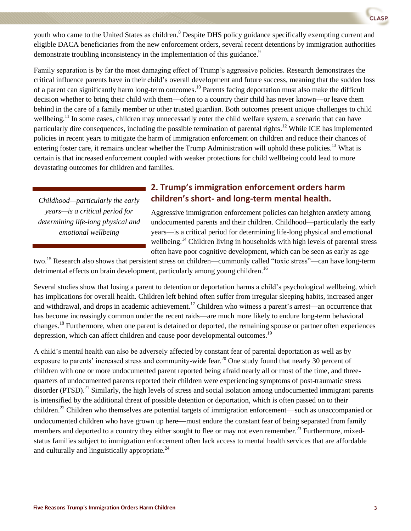youth who came to the United States as children.<sup>8</sup> Despite DHS policy guidance specifically exempting current and eligible DACA beneficiaries from the new enforcement orders, several recent detentions by immigration authorities demonstrate troubling inconsistency in the implementation of this guidance.<sup>9</sup>

Family separation is by far the most damaging effect of Trump's aggressive policies. Research demonstrates the critical influence parents have in their child's overall development and future success, meaning that the sudden loss of a parent can significantly harm long-term outcomes.<sup>10</sup> Parents facing deportation must also make the difficult decision whether to bring their child with them—often to a country their child has never known—or leave them behind in the care of a family member or other trusted guardian. Both outcomes present unique challenges to child wellbeing.<sup>11</sup> In some cases, children may unnecessarily enter the child welfare system, a scenario that can have particularly dire consequences, including the possible termination of parental rights.<sup>12</sup> While ICE has implemented policies in recent years to mitigate the harm of immigration enforcement on children and reduce their chances of entering foster care, it remains unclear whether the Trump Administration will uphold these policies.<sup>13</sup> What is certain is that increased enforcement coupled with weaker protections for child wellbeing could lead to more devastating outcomes for children and families.

*Childhood—particularly the early years—is a critical period for determining life-long physical and emotional wellbeing*

### **2. Trump's immigration enforcement orders harm children's short- and long-term mental health.**

Aggressive immigration enforcement policies can heighten anxiety among undocumented parents and their children. Childhood—particularly the early years—is a critical period for determining life-long physical and emotional wellbeing.<sup>14</sup> Children living in households with high levels of parental stress often have poor cognitive development, which can be seen as early as age

two.<sup>15</sup> Research also shows that persistent stress on children—commonly called "toxic stress"—can have long-term detrimental effects on brain development, particularly among young children.<sup>16</sup>

Several studies show that losing a parent to detention or deportation harms a child's psychological wellbeing, which has implications for overall health. Children left behind often suffer from irregular sleeping habits, increased anger and withdrawal, and drops in academic achievement.<sup>17</sup> Children who witness a parent's arrest—an occurrence that has become increasingly common under the recent raids—are much more likely to endure long-term behavioral changes.<sup>18</sup> Furthermore, when one parent is detained or deported, the remaining spouse or partner often experiences depression, which can affect children and cause poor developmental outcomes.<sup>19</sup>

A child's mental health can also be adversely affected by constant fear of parental deportation as well as by exposure to parents' increased stress and community-wide fear.<sup>20</sup> One study found that nearly 30 percent of children with one or more undocumented parent reported being afraid nearly all or most of the time, and threequarters of undocumented parents reported their children were experiencing symptoms of post-traumatic stress disorder (PTSD).<sup>21</sup> Similarly, the high levels of stress and social isolation among undocumented immigrant parents is intensified by the additional threat of possible detention or deportation, which is often passed on to their children.<sup>22</sup> Children who themselves are potential targets of immigration enforcement—such as unaccompanied or undocumented children who have grown up here—must endure the constant fear of being separated from family members and deported to a country they either sought to flee or may not even remember.<sup>23</sup> Furthermore, mixedstatus families subject to immigration enforcement often lack access to mental health services that are affordable and culturally and linguistically appropriate.<sup>24</sup>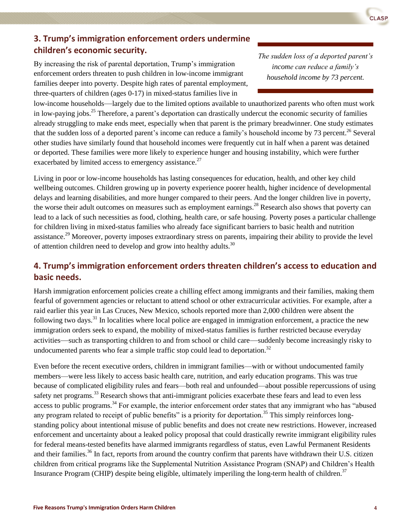# **3. Trump's immigration enforcement orders undermine children's economic security.**

By increasing the risk of parental deportation, Trump's immigration enforcement orders threaten to push children in low-income immigrant families deeper into poverty. Despite high rates of parental employment, three-quarters of children (ages 0-17) in mixed-status families live in

low-income households—largely due to the limited options available to unauthorized parents who often must work in low-paying jobs.<sup>25</sup> Therefore, a parent's deportation can drastically undercut the economic security of families already struggling to make ends meet, especially when that parent is the primary breadwinner. One study estimates that the sudden loss of a deported parent's income can reduce a family's household income by 73 percent.<sup>26</sup> Several other studies have similarly found that household incomes were frequently cut in half when a parent was detained or deported. These families were more likely to experience hunger and housing instability, which were further exacerbated by limited access to emergency assistance.<sup>27</sup>

Living in poor or low-income households has lasting consequences for education, health, and other key child wellbeing outcomes. Children growing up in poverty experience poorer health, higher incidence of developmental delays and learning disabilities, and more hunger compared to their peers. And the longer children live in poverty, the worse their adult outcomes on measures such as employment earnings.<sup>28</sup> Research also shows that poverty can lead to a lack of such necessities as food, clothing, health care, or safe housing. Poverty poses a particular challenge for children living in mixed-status families who already face significant barriers to basic health and nutrition assistance.<sup>29</sup> Moreover, poverty imposes extraordinary stress on parents, impairing their ability to provide the level of attention children need to develop and grow into healthy adults.<sup>30</sup>

## **4. Trump's immigration enforcement orders threaten children's access to education and basic needs.**

Harsh immigration enforcement policies create a chilling effect among immigrants and their families, making them fearful of government agencies or reluctant to attend school or other extracurricular activities. For example, after a raid earlier this year in Las Cruces, New Mexico, schools reported more than 2,000 children were absent the following two days.<sup>31</sup> In localities where local police are engaged in immigration enforcement, a practice the new immigration orders seek to expand, the mobility of mixed-status families is further restricted because everyday activities—such as transporting children to and from school or child care—suddenly become increasingly risky to undocumented parents who fear a simple traffic stop could lead to deportation.<sup>32</sup>

Even before the recent executive orders, children in immigrant families—with or without undocumented family members—were less likely to access basic health care, nutrition, and early education programs. This was true because of complicated eligibility rules and fears—both real and unfounded—about possible repercussions of using safety net programs.<sup>33</sup> Research shows that anti-immigrant policies exacerbate these fears and lead to even less access to public programs.<sup>34</sup> For example, the interior enforcement order states that any immigrant who has "abused" any program related to receipt of public benefits" is a priority for deportation.<sup>35</sup> This simply reinforces longstanding policy about intentional misuse of public benefits and does not create new restrictions. However, increased enforcement and uncertainty about a leaked policy proposal that could drastically rewrite immigrant eligibility rules for federal means-tested benefits have alarmed immigrants regardless of status, even Lawful Permanent Residents and their families.<sup>36</sup> In fact, reports from around the country confirm that parents have withdrawn their U.S. citizen children from critical programs like the Supplemental Nutrition Assistance Program (SNAP) and Children's Health Insurance Program (CHIP) despite being eligible, ultimately imperiling the long-term health of children.<sup>37</sup>

*The sudden loss of a deported parent's income can reduce a family's household income by 73 percent.*

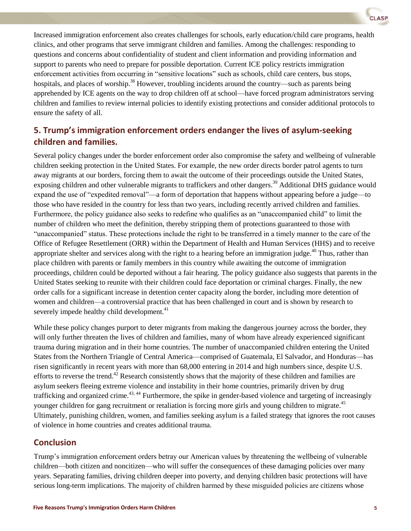

## **5. Trump's immigration enforcement orders endanger the lives of asylum-seeking children and families.**

Several policy changes under the border enforcement order also compromise the safety and wellbeing of vulnerable children seeking protection in the United States. For example, the new order directs border patrol agents to turn away migrants at our borders, forcing them to await the outcome of their proceedings outside the United States, exposing children and other vulnerable migrants to traffickers and other dangers.<sup>39</sup> Additional DHS guidance would expand the use of "expedited removal"—a form of deportation that happens without appearing before a judge—to those who have resided in the country for less than two years, including recently arrived children and families. Furthermore, the policy guidance also seeks to redefine who qualifies as an "unaccompanied child" to limit the number of children who meet the definition, thereby stripping them of protections guaranteed to those with "unaccompanied" status. These protections include the right to be transferred in a timely manner to the care of the Office of Refugee Resettlement (ORR) within the Department of Health and Human Services (HHS) and to receive appropriate shelter and services along with the right to a hearing before an immigration judge.<sup>40</sup> Thus, rather than place children with parents or family members in this country while awaiting the outcome of immigration proceedings, children could be deported without a fair hearing. The policy guidance also suggests that parents in the United States seeking to reunite with their children could face deportation or criminal charges. Finally, the new order calls for a significant increase in detention center capacity along the border, including more detention of women and children—a controversial practice that has been challenged in court and is shown by research to severely impede healthy child development.<sup>41</sup>

While these policy changes purport to deter migrants from making the dangerous journey across the border, they will only further threaten the lives of children and families, many of whom have already experienced significant trauma during migration and in their home countries. The number of unaccompanied children entering the United States from the Northern Triangle of Central America—comprised of Guatemala, El Salvador, and Honduras—has risen significantly in recent years with more than 68,000 entering in 2014 and high numbers since, despite U.S. efforts to reverse the trend.<sup>42</sup> Research consistently shows that the majority of these children and families are asylum seekers fleeing extreme violence and instability in their home countries, primarily driven by drug trafficking and organized crime.<sup>43, 44</sup> Furthermore, the spike in gender-based violence and targeting of increasingly younger children for gang recruitment or retaliation is forcing more girls and young children to migrate.<sup>45</sup> Ultimately, punishing children, women, and families seeking asylum is a failed strategy that ignores the root causes of violence in home countries and creates additional trauma.

#### **Conclusion**

Trump's immigration enforcement orders betray our American values by threatening the wellbeing of vulnerable children—both citizen and noncitizen—who will suffer the consequences of these damaging policies over many years. Separating families, driving children deeper into poverty, and denying children basic protections will have serious long-term implications. The majority of children harmed by these misguided policies are citizens whose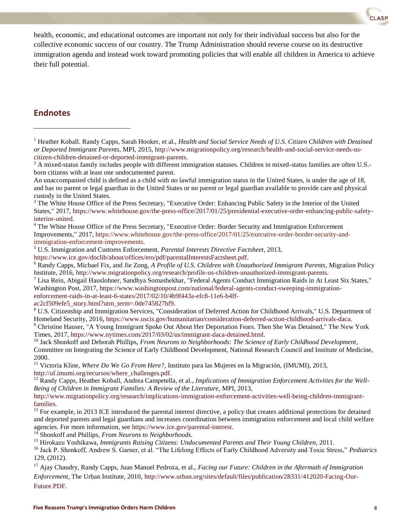health, economic, and educational outcomes are important not only for their individual success but also for the collective economic success of our country. The Trump Administration should reverse course on its destructive immigration agenda and instead work toward promoting policies that will enable all children in America to achieve their full potential.

#### **Endnotes**

l

ac2cf509efe5\_story.html?utm\_term=.0de745827bf9.

```
8 U.S. Citizenship and Immigration Services, "Consideration of Deferred Action for Childhood Arrivals," U.S. Department of 
Homeland Security, 2016, https://www.uscis.gov/humanitarian/consideration-deferred-action-childhood-arrivals-daca.
```
<sup>14</sup> Shonkoff and Phillips, *From Neurons to Neighborhoods*.

<sup>1</sup> Heather Koball. Randy Capps, Sarah Hooker, et al., *Health and Social Service Needs of U.S. Citizen Children with Detained or Deported Immigrant Parents*, MPI, 2015, http://www.migrationpolicy.org/research/health-and-social-service-needs-uscitizen-children-detained-or-deported-immigrant-parents.

 $2$  A mixed-status family includes people with different immigration statuses. Children in mixed-status families are often U.S.born citizens with at least one undocumented parent.

An unaccompanied child is defined as a child with no lawful immigration status in the United States, is under the age of 18, and has no parent or legal guardian in the United States or no parent or legal guardian available to provide care and physical custody in the United States.

<sup>&</sup>lt;sup>3</sup> The White House Office of the Press Secretary, "Executive Order: Enhancing Public Safety in the Interior of the United States," 2017, https://www.whitehouse.gov/the-press-office/2017/01/25/presidential-executive-order-enhancing-public-safetyinterior-united.

<sup>4</sup> The White House Office of the Press Secretary, "Executive Order: Border Security and Immigration Enforcement Improvements," 2017, https://www.whitehouse.gov/the-press-office/2017/01/25/executive-order-border-security-andimmigration-enforcement-improvements.

<sup>5</sup> U.S. Immigration and Customs Enforcement, *Parental Interests Directive Factsheet*, 2013,

[https://www.ice.gov/doclib/about/offices/ero/pdf/parentalInterestsFactsheet.pdf.](https://www.ice.gov/doclib/about/offices/ero/pdf/parentalInterestsFactsheet.pdf) 

<sup>6</sup> Randy Capps, Michael Fix, and Jie Zong, *A Profile of U.S. Children with Unauthorized Immigrant Parents*, Migration Policy Institute, 2016, [http://www.migrationpolicy.org/research/profile-us-children-unauthorized-immigrant-parents.](http://www.migrationpolicy.org/research/profile-us-children-unauthorized-immigrant-parents)

 $^7$  Lisa Rein, Abigail Hauslohner, Sandhya Somashekhar, "Federal Agents Conduct Immigration Raids in At Least Six States," Washington Post, 2017, https://www.washingtonpost.com/national/federal-agents-conduct-sweeping-immigrationenforcement-raids-in-at-least-6-states/2017/02/10/4b9f443a-efc8-11e6-b4ff-

<sup>9</sup> Christine Hauser, "A Young Immigrant Spoke Out About Her Deportation Fears. Then She Was Detained," The New York Times, 2017, https://www.nytimes.com/2017/03/02/us/immigrant-daca-detained.html.

<sup>10</sup> Jack Shonkoff and Deborah Phillips, *From Neurons to Neighborhoods: The Science of Early Childhood Development*, Committee on Integrating the Science of Early Childhood Development, National Research Council and Institute of Medicine, 2000.

<sup>11</sup> Victoria Kline, *Where Do We Go From Here?,* Instituto para las Mujeres en la Migración, (IMUMI), 2013, [http://uf.imumi.org/recursos/where\\_challenges.pdf.](http://uf.imumi.org/recursos/where_challenges.pdf) 

<sup>&</sup>lt;sup>12</sup> Randy Capps, Heather Koball, Andrea Campetella, et al., *Implications of Immigration Enforcement Activities for the Well-Being of Children in Immigrant Families: A Review of the Literature*, MPI, 2013,

http://www.migrationpolicy.org/research/implications-immigration-enforcement-activities-well-being-children-immigrantfamilies.

 $13$  For example, in 2013 ICE introduced the parental interest directive, a policy that creates additional protections for detained and deported parents and legal guardians and increases coordination between immigration enforcement and local child welfare agencies. For more information, see [https://www.ice.gov/parental-interest.](https://www.ice.gov/parental-interest)

<sup>15</sup> Hirokazu Yoshikawa, *Immigrants Raising Citizens: Undocumented Parents and Their Young Children*, 2011.

<sup>16</sup> Jack P. Shonkoff, Andrew S. Garner, et al. "The Lifelong Effects of Early Childhood Adversity and Toxic Stress," *Pediatrics*  129, (2012).

<sup>17</sup> Ajay Chaudry, Randy Capps, Juan Manuel Pedroza, et al., *Facing our Future: Children in the Aftermath of Immigration Enforcement*, The Urban Institute, 2010, [http://www.urban.org/sites/default/files/publication/28331/412020-Facing-Our-](http://www.urban.org/sites/default/files/publication/28331/412020-Facing-Our-Future.PDF)[Future.PDF.](http://www.urban.org/sites/default/files/publication/28331/412020-Facing-Our-Future.PDF)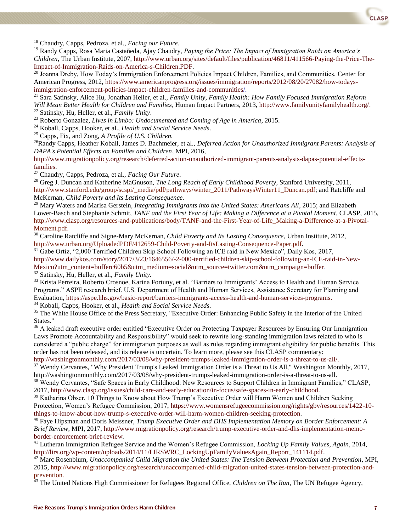<sup>18</sup> Chaudry, Capps, Pedroza, et al., *Facing our Future*.

l

<sup>19</sup> Randy Capps, Rosa Maria Castañeda, Ajay Chaudry, *Paying the Price: The Impact of Immigration Raids on America's Children*, The Urban Institute, 2007, [http://www.urban.org/sites/default/files/publication/46811/411566-Paying-the-Price-The-](http://www.urban.org/sites/default/files/publication/46811/411566-Paying-the-Price-The-Impact-of-Immigration-Raids-on-America-s-Children.PDF)[Impact-of-Immigration-Raids-on-America-s-Children.PDF.](http://www.urban.org/sites/default/files/publication/46811/411566-Paying-the-Price-The-Impact-of-Immigration-Raids-on-America-s-Children.PDF)

<sup>20</sup> Joanna Dreby, How Today's Immigration Enforcement Policies Impact Children, Families, and Communities, Center for American Progress, 2012, [https://www.americanprogress.org/issues/immigration/reports/2012/08/20/27082/how-todays](https://www.americanprogress.org/issues/immigration/reports/2012/08/20/27082/how-todays-immigration-enforcement-policies-impact-children-families-and-communities/)[immigration-enforcement-policies-impact-children-families-and-communities/.](https://www.americanprogress.org/issues/immigration/reports/2012/08/20/27082/how-todays-immigration-enforcement-policies-impact-children-families-and-communities/)

<sup>21</sup> Sara Satinsky, Alice Hu, Jonathan Heller, et al., *Family Unity, Family Health: How Family Focused Immigration Reform Will Mean Better Health for Children and Families*, Human Impact Partners, 2013, [http://www.familyunityfamilyhealth.org/.](http://www.familyunityfamilyhealth.org/)

<sup>22</sup> Satinsky, Hu, Heller, et al., *Family Unity*.

<sup>23</sup> Roberto Gonzalez, *Lives in Limbo: Undocumented and Coming of Age in America*, 2015.

<sup>24</sup> Koball, Capps, Hooker, et al., *Health and Social Service Needs*.

<sup>25</sup> Capps, Fix, and Zong, *A Profile of U.S. Children.*

<sup>26</sup>Randy Capps, Heather Koball, James D. Bachmeier, et al., *Deferred Action for Unauthorized Immigrant Parents: Analysis of DAPA's Potential Effects on Families and Children*, MPI, 2016,

[http://www.migrationpolicy.org/research/deferred-action-unauthorized-immigrant-parents-analysis-dapas-potential-effects](http://www.migrationpolicy.org/research/deferred-action-unauthorized-immigrant-parents-analysis-dapas-potential-effects-families)[families.](http://www.migrationpolicy.org/research/deferred-action-unauthorized-immigrant-parents-analysis-dapas-potential-effects-families) 

<sup>27</sup> Chaudry, Capps, Pedroza, et al., *Facing Our Future*.

<sup>28</sup> Greg J. Duncan and Katherine MaGnuson, *The Long Reach of Early Childhood Poverty*, Stanford University, 2011, http://www.stanford.edu/group/scspi/\_media/pdf/pathways/winter\_2011/PathwaysWinter11\_Duncan.pdf; and Ratcliffe and McKernan, *Child Poverty and Its Lasting Consequence.*

<sup>29</sup> Mary Waters and Marisa Gerstein, *Integrating Immigrants into the United States: Americans All*, 2015; and Elizabeth Lower-Basch and Stephanie Schmit, *TANF and the First Year of Life: Making a Difference at a Pivotal Moment*, CLASP, 2015, http://www.clasp.org/resources-and-publications/body/TANF-and-the-First-Year-of-Life\_Making-a-Difference-at-a-Pivotal-Moment.pdf.

<sup>30</sup> Caroline Ratcliffe and Signe-Mary McKernan, *Child Poverty and Its Lasting Consequence*, Urban Institute, 2012, http://www.urban.org/UploadedPDF/412659-Child-Poverty-and-ItsLasting-Consequence-Paper.pdf.

<sup>31</sup> Gabe Ortiz, "2,000 Terrified Children Skip School Following an ICE raid in New Mexico", Daily Kos, 2017, [http://www.dailykos.com/story/2017/3/23/1646556/-2-000-terrified-children-skip-school-following-an-ICE-raid-in-New-](http://www.dailykos.com/story/2017/3/23/1646556/-2-000-terrified-children-skip-school-following-an-ICE-raid-in-New-Mexico?utm_content=bufferc60b5&utm_medium=social&utm_source=twitter.com&utm_campaign=buffer)[Mexico?utm\\_content=bufferc60b5&utm\\_medium=social&utm\\_source=twitter.com&utm\\_campaign=buffer.](http://www.dailykos.com/story/2017/3/23/1646556/-2-000-terrified-children-skip-school-following-an-ICE-raid-in-New-Mexico?utm_content=bufferc60b5&utm_medium=social&utm_source=twitter.com&utm_campaign=buffer) <sup>32</sup> Satinsky, Hu, Heller, et al., *Family Unity.*

<sup>33</sup> Krista Perreira, Roberto Crosnoe, Karina Fortuny, et al. "Barriers to Immigrants' Access to Health and Human Service Programs." ASPE research brief. U.S. Department of Health and Human Services, Assistance Secretary for Planning and Evaluation[, https://aspe.hhs.gov/basic-report/barriers-immigrants-access-health-and-human-services-programs.](https://aspe.hhs.gov/basic-report/barriers-immigrants-access-health-and-human-services-programs)

<sup>34</sup> Koball, Capps, Hooker, et al., *Health and Social Service Needs*.

<sup>35</sup> The White House Office of the Press Secretary, "Executive Order: Enhancing Public Safety in the Interior of the United States."

<sup>36</sup> A leaked draft executive order entitled "Executive Order on Protecting Taxpayer Resources by Ensuring Our Immigration Laws Promote Accountability and Responsibility" would seek to rewrite long-standing immigration laws related to who is considered a "public charge" for immigration purposes as well as rules regarding immigrant eligibility for public benefits. This order has not been released, and its release is uncertain. To learn more, please see this CLASP commentary: [http://washingtonmonthly.com/2017/03/08/why-president-trumps-leaked-immigration-order-is-a-threat-to-us-all/.](http://washingtonmonthly.com/2017/03/08/why-president-trumps-leaked-immigration-order-is-a-threat-to-us-all/)

<sup>37</sup> Wendy Cervantes, "Why President Trump's Leaked Immigration Order is a Threat to Us All," Washington Monthly, 2017, http://washingtonmonthly.com/2017/03/08/why-president-trumps-leaked-immigration-order-is-a-threat-to-us-all.

<sup>38</sup> Wendy Cervantes, "Safe Spaces in Early Childhood: New Resources to Support Children in Immigrant Families," CLASP, 2017[, http://www.clasp.org/issues/child-care-and-early-education/in-focus/safe-spaces-in-early-childhood.](http://www.clasp.org/issues/child-care-and-early-education/in-focus/safe-spaces-in-early-childhood)

<sup>39</sup> Katharina Obser, 10 Things to Know about How Trump's Executive Order will Harm Women and Children Seeking Protection, Women's Refugee Commission, 2017, [https://www.womensrefugeecommission.org/rights/gbv/resources/1422-10](https://www.womensrefugeecommission.org/rights/gbv/resources/1422-10-things-to-know-about-how-trump-s-executive-order-will-harm-women-children-seeking-protection) [things-to-know-about-how-trump-s-executive-order-will-harm-women-children-seeking-protection.](https://www.womensrefugeecommission.org/rights/gbv/resources/1422-10-things-to-know-about-how-trump-s-executive-order-will-harm-women-children-seeking-protection)

<sup>40</sup> Faye Hipsman and Doris Meissner, *Trump Executive Order and DHS Implementation Memory on Border Enforcement: A Brief Review*, MPI, 2017[, http://www.migrationpolicy.org/research/trump-executive-order-and-dhs-implementation-memo](http://www.migrationpolicy.org/research/trump-executive-order-and-dhs-implementation-memo-border-enforcement-brief-review)[border-enforcement-brief-review.](http://www.migrationpolicy.org/research/trump-executive-order-and-dhs-implementation-memo-border-enforcement-brief-review) 

<sup>41</sup> Lutheran Immigration Refugee Service and the Women's Refugee Commission, *Locking Up Family Values, Again*, 2014, [http://lirs.org/wp-content/uploads/2014/11/LIRSWRC\\_LockingUpFamilyValuesAgain\\_Report\\_141114.pdf.](http://lirs.org/wp-content/uploads/2014/11/LIRSWRC_LockingUpFamilyValuesAgain_Report_141114.pdf)

<sup>42</sup> Marc Rosenblum, *Unaccompanied Child Migration the United States: The Tension Between Protection and Prevention*, MPI, 2015[, http://www.migrationpolicy.org/research/unaccompanied-child-migration-united-states-tension-between-protection-and](http://www.migrationpolicy.org/research/unaccompanied-child-migration-united-states-tension-between-protection-and-prevention)[prevention.](http://www.migrationpolicy.org/research/unaccompanied-child-migration-united-states-tension-between-protection-and-prevention)

<sup>43</sup> The United Nations High Commissioner for Refugees Regional Office, *Children on The Run*, The UN Refugee Agency,